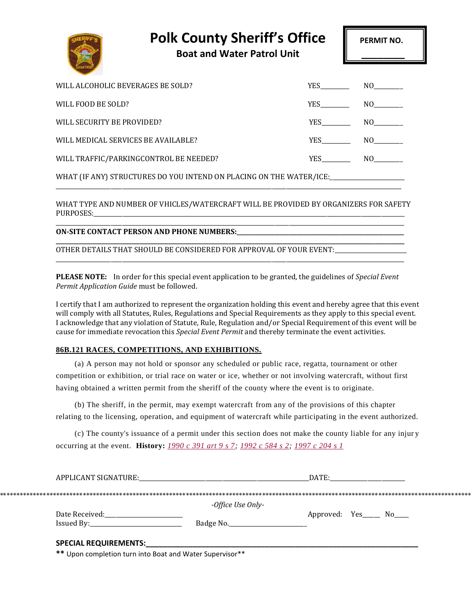| <b>Polk County Sheriff's Office</b> |  |  |
|-------------------------------------|--|--|
|-------------------------------------|--|--|

**Boat and Water Patrol Unit \_\_\_\_\_\_\_\_**

\_\_\_\_\_\_\_\_\_\_\_\_\_\_\_\_\_\_\_\_\_\_\_\_\_\_\_\_\_\_\_\_\_\_\_\_\_\_\_\_\_\_\_\_\_\_\_\_\_\_\_\_\_\_\_\_\_\_\_\_\_\_\_\_\_\_\_\_\_\_\_\_\_\_\_\_\_\_\_\_\_\_\_\_\_\_\_\_\_\_\_\_\_\_\_\_\_\_\_\_\_\_\_\_\_\_\_\_\_\_\_\_\_\_\_\_\_\_\_\_\_

| WILL ALCOHOLIC BEVERAGES BE SOLD?                                   | YES FOR THE STREET | NO |
|---------------------------------------------------------------------|--------------------|----|
| WILL FOOD BE SOLD?                                                  | <b>YES</b>         |    |
| WILL SECURITY BE PROVIDED?                                          | <b>YES</b>         | NO |
| WILL MEDICAL SERVICES BE AVAILABLE?                                 | YES NO             |    |
| WILL TRAFFIC/PARKINGCONTROL BE NEEDED?                              | <b>YES</b>         | NO |
| WHAT (IF ANY) STRUCTURES DO YOU INTEND ON PLACING ON THE WATER/ICE: |                    |    |

WHAT TYPE AND NUMBER OF VHICLES/WATERCRAFT WILL BE PROVIDED BY ORGANIZERS FOR SAFETY PURPOSES:

**\_\_\_\_\_\_\_\_\_\_\_\_\_\_\_\_\_\_\_\_\_\_\_\_\_\_\_\_\_\_\_\_\_\_\_\_\_\_\_\_\_\_\_\_\_\_\_\_\_\_\_\_\_\_\_\_\_\_\_\_\_\_\_\_\_\_\_\_\_\_\_\_\_\_\_\_\_\_\_\_\_\_\_\_\_\_\_\_\_\_\_\_\_\_\_\_\_\_\_\_\_\_\_\_\_\_\_\_\_\_\_\_\_\_\_\_\_\_\_\_\_**

\_\_\_\_\_\_\_\_\_\_\_\_\_\_\_\_\_\_\_\_\_\_\_\_\_\_\_\_\_\_\_\_\_\_\_\_\_\_\_\_\_\_\_\_\_\_\_\_\_\_\_\_\_\_\_\_\_\_\_\_\_\_\_\_\_\_\_\_\_\_\_\_\_\_\_\_\_\_\_\_\_\_\_\_\_\_\_\_\_\_\_\_\_\_\_\_\_\_\_\_\_\_\_\_\_\_\_\_\_\_\_\_\_\_\_\_\_\_\_\_\_

\_\_\_\_\_\_\_\_\_\_\_\_\_\_\_\_\_\_\_\_\_\_\_\_\_\_\_\_\_\_\_\_\_\_\_\_\_\_\_\_\_\_\_\_\_\_\_\_\_\_\_\_\_\_\_\_\_\_\_\_\_\_\_\_\_\_\_\_\_\_\_\_\_\_\_\_\_\_\_\_\_\_\_\_\_\_\_\_\_\_\_\_\_\_\_\_\_\_\_\_\_\_\_\_\_\_\_\_\_\_\_\_\_\_\_\_\_\_\_\_

**ON-SITE CONTACT PERSON AND PHONE NUMBERS:\_\_\_\_\_\_\_\_\_\_\_\_\_\_\_\_\_\_\_\_\_\_\_\_\_\_\_\_\_\_\_\_\_\_\_\_\_\_\_\_\_\_\_\_\_\_\_\_\_\_\_\_\_\_\_\_\_\_**

OTHER DETAILS THAT SHOULD BE CONSIDERED FOR APPROVAL OF YOUR EVENT:

**PLEASE NOTE:** In order for this special event application to be granted, the guidelines of *Special Event Permit Application Guide* must be followed.

I certify that I am authorized to represent the organization holding this event and hereby agree that this event will comply with all Statutes, Rules, Regulations and Special Requirements as they apply to this special event. I acknowledge that any violation of Statute, Rule, Regulation and/or Special Requirement of this event will be cause for immediate revocation this *Special Event Permit* and thereby terminate the event activities.

## **86B.121 RACES, COMPETITIONS, AND EXHIBITIONS.**

(a) A person may not hold or sponsor any scheduled or public race, regatta, tournament or other competition or exhibition, or trial race on water or ice, whether or not involving watercraft, without first having obtained a written permit from the sheriff of the county where the event is to originate.

(b) The sheriff, in the permit, may exempt watercraft from any of the provisions of this chapter relating to the licensing, operation, and equipment of watercraft while participating in the event authorized.

(c) The county's issuance of a permit under this section does not make the county liable for any injur y occurring at the event. **History:** *[1990 c 391 art 9 s 7;](https://www.revisor.mn.gov/laws?doctype=Chapter&year=1990&type=0&id=391) [1992 c 584 s 2;](https://www.revisor.mn.gov/laws?doctype=Chapter&year=1992&type=0&id=584) [1997 c 204 s 1](https://www.revisor.mn.gov/laws?doctype=Chapter&year=1997&type=0&id=204)*

| APPLICANT SIGNATURE:         |                   | DATE: |                           |  |
|------------------------------|-------------------|-------|---------------------------|--|
|                              |                   |       |                           |  |
|                              | -Office Use Only- |       |                           |  |
| Date Received:               |                   |       | Approved: Yes_____ No____ |  |
|                              | Badge No.         |       |                           |  |
| <b>SPECIAL REQUIREMENTS:</b> |                   |       |                           |  |
|                              |                   |       |                           |  |

**\*\*** Upon completion turn into Boat and Water Supervisor\*\*